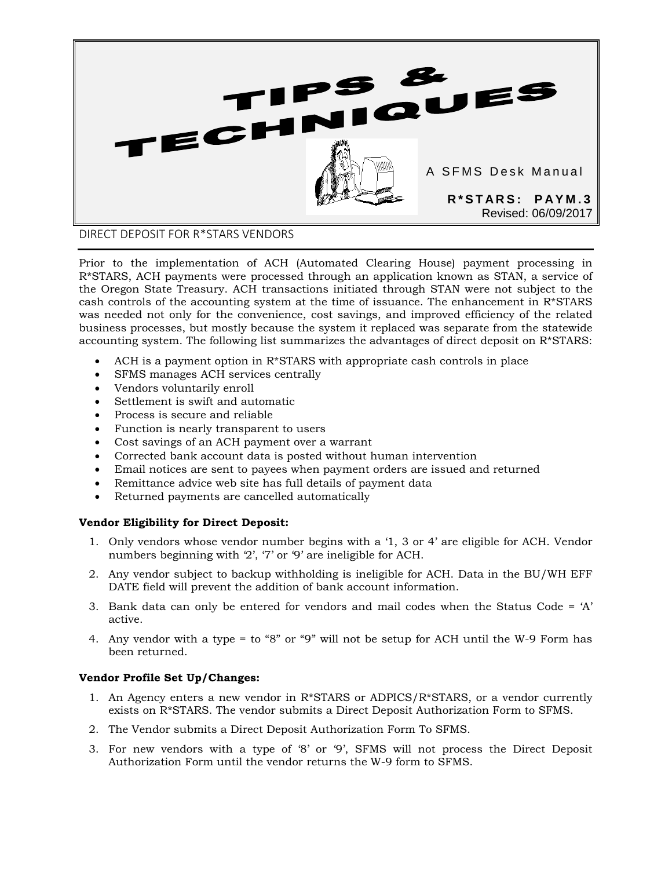

DIRECT DEPOSIT FOR R\*STARS VENDORS

Prior to the implementation of ACH (Automated Clearing House) payment processing in R\*STARS, ACH payments were processed through an application known as STAN, a service of the Oregon State Treasury. ACH transactions initiated through STAN were not subject to the cash controls of the accounting system at the time of issuance. The enhancement in R\*STARS was needed not only for the convenience, cost savings, and improved efficiency of the related business processes, but mostly because the system it replaced was separate from the statewide accounting system. The following list summarizes the advantages of direct deposit on R\*STARS:

- ACH is a payment option in R\*STARS with appropriate cash controls in place
- SFMS manages ACH services centrally
- Vendors voluntarily enroll
- Settlement is swift and automatic
- Process is secure and reliable
- Function is nearly transparent to users
- Cost savings of an ACH payment over a warrant
- Corrected bank account data is posted without human intervention
- Email notices are sent to payees when payment orders are issued and returned
- Remittance advice web site has full details of payment data
- Returned payments are cancelled automatically

# **Vendor Eligibility for Direct Deposit:**

- 1. Only vendors whose vendor number begins with a '1, 3 or 4' are eligible for ACH. Vendor numbers beginning with '2', '7' or '9' are ineligible for ACH.
- 2. Any vendor subject to backup withholding is ineligible for ACH. Data in the BU/WH EFF DATE field will prevent the addition of bank account information.
- 3. Bank data can only be entered for vendors and mail codes when the Status Code =  $A'$ active.
- 4. Any vendor with a type = to "8" or "9" will not be setup for ACH until the W-9 Form has been returned.

# **Vendor Profile Set Up/Changes:**

- 1. An Agency enters a new vendor in R\*STARS or ADPICS/R\*STARS, or a vendor currently exists on R\*STARS. The vendor submits a Direct Deposit Authorization Form to SFMS.
- 2. The Vendor submits a Direct Deposit Authorization Form To SFMS.
- 3. For new vendors with a type of '8' or '9', SFMS will not process the Direct Deposit Authorization Form until the vendor returns the W-9 form to SFMS.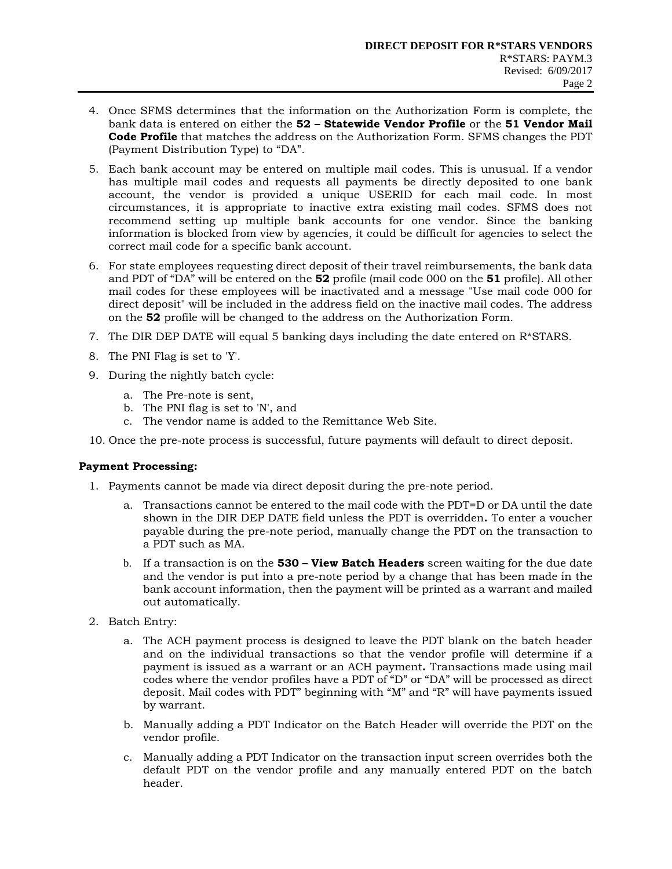- 4. Once SFMS determines that the information on the Authorization Form is complete, the bank data is entered on either the **52 – Statewide Vendor Profile** or the **51 Vendor Mail Code Profile** that matches the address on the Authorization Form. SFMS changes the PDT (Payment Distribution Type) to "DA".
- 5. Each bank account may be entered on multiple mail codes. This is unusual. If a vendor has multiple mail codes and requests all payments be directly deposited to one bank account, the vendor is provided a unique USERID for each mail code. In most circumstances, it is appropriate to inactive extra existing mail codes. SFMS does not recommend setting up multiple bank accounts for one vendor. Since the banking information is blocked from view by agencies, it could be difficult for agencies to select the correct mail code for a specific bank account.
- 6. For state employees requesting direct deposit of their travel reimbursements, the bank data and PDT of "DA" will be entered on the **52** profile (mail code 000 on the **51** profile). All other mail codes for these employees will be inactivated and a message "Use mail code 000 for direct deposit" will be included in the address field on the inactive mail codes. The address on the **52** profile will be changed to the address on the Authorization Form.
- 7. The DIR DEP DATE will equal 5 banking days including the date entered on  $R^*STARS$ .
- 8. The PNI Flag is set to 'Y'.
- 9. During the nightly batch cycle:
	- a. The Pre-note is sent,
	- b. The PNI flag is set to 'N', and
	- c. The vendor name is added to the Remittance Web Site.
- 10. Once the pre-note process is successful, future payments will default to direct deposit.

## **Payment Processing:**

- 1. Payments cannot be made via direct deposit during the pre-note period.
	- a. Transactions cannot be entered to the mail code with the PDT=D or DA until the date shown in the DIR DEP DATE field unless the PDT is overridden**.** To enter a voucher payable during the pre-note period, manually change the PDT on the transaction to a PDT such as MA.
	- b. If a transaction is on the **530 – View Batch Headers** screen waiting for the due date and the vendor is put into a pre-note period by a change that has been made in the bank account information, then the payment will be printed as a warrant and mailed out automatically.
- 2. Batch Entry:
	- a. The ACH payment process is designed to leave the PDT blank on the batch header and on the individual transactions so that the vendor profile will determine if a payment is issued as a warrant or an ACH payment**.** Transactions made using mail codes where the vendor profiles have a PDT of "D" or "DA" will be processed as direct deposit. Mail codes with PDT" beginning with "M" and "R" will have payments issued by warrant.
	- b. Manually adding a PDT Indicator on the Batch Header will override the PDT on the vendor profile.
	- c. Manually adding a PDT Indicator on the transaction input screen overrides both the default PDT on the vendor profile and any manually entered PDT on the batch header.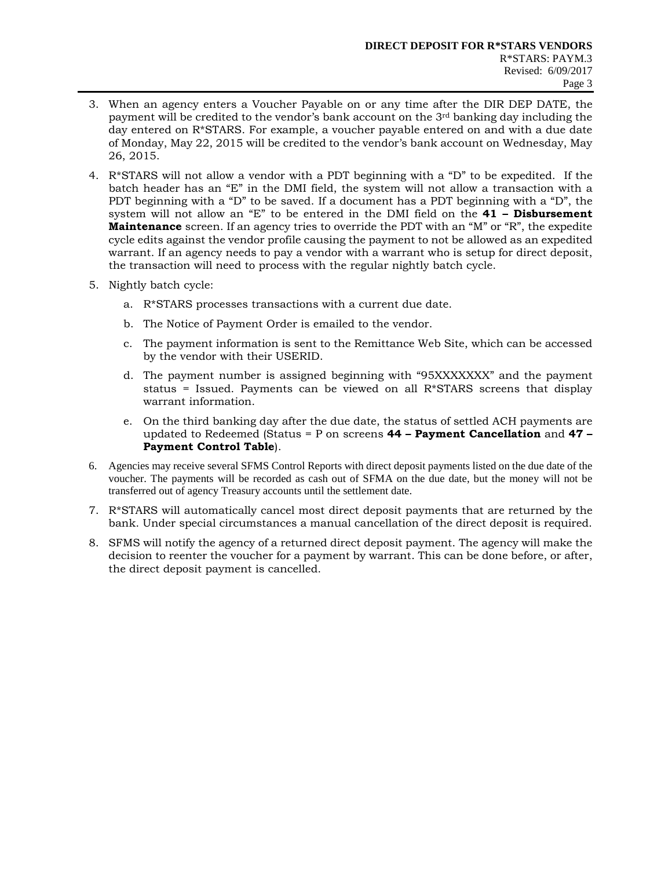- 3. When an agency enters a Voucher Payable on or any time after the DIR DEP DATE, the payment will be credited to the vendor's bank account on the 3rd banking day including the day entered on R\*STARS. For example, a voucher payable entered on and with a due date of Monday, May 22, 2015 will be credited to the vendor's bank account on Wednesday, May 26, 2015.
- 4. R\*STARS will not allow a vendor with a PDT beginning with a "D" to be expedited. If the batch header has an "E" in the DMI field, the system will not allow a transaction with a PDT beginning with a "D" to be saved. If a document has a PDT beginning with a "D", the system will not allow an "E" to be entered in the DMI field on the **41 – Disbursement Maintenance** screen. If an agency tries to override the PDT with an "M" or "R", the expedite cycle edits against the vendor profile causing the payment to not be allowed as an expedited warrant. If an agency needs to pay a vendor with a warrant who is setup for direct deposit, the transaction will need to process with the regular nightly batch cycle.
- 5. Nightly batch cycle:
	- a. R\*STARS processes transactions with a current due date.
	- b. The Notice of Payment Order is emailed to the vendor.
	- c. The payment information is sent to the Remittance Web Site, which can be accessed by the vendor with their USERID.
	- d. The payment number is assigned beginning with "95XXXXXXX" and the payment status = Issued. Payments can be viewed on all  $R*STARS$  screens that display warrant information.
	- e. On the third banking day after the due date, the status of settled ACH payments are updated to Redeemed (Status = P on screens **44 – Payment Cancellation** and **47 – Payment Control Table**).
- 6. Agencies may receive several SFMS Control Reports with direct deposit payments listed on the due date of the voucher. The payments will be recorded as cash out of SFMA on the due date, but the money will not be transferred out of agency Treasury accounts until the settlement date.
- 7. R\*STARS will automatically cancel most direct deposit payments that are returned by the bank. Under special circumstances a manual cancellation of the direct deposit is required.
- 8. SFMS will notify the agency of a returned direct deposit payment. The agency will make the decision to reenter the voucher for a payment by warrant. This can be done before, or after, the direct deposit payment is cancelled.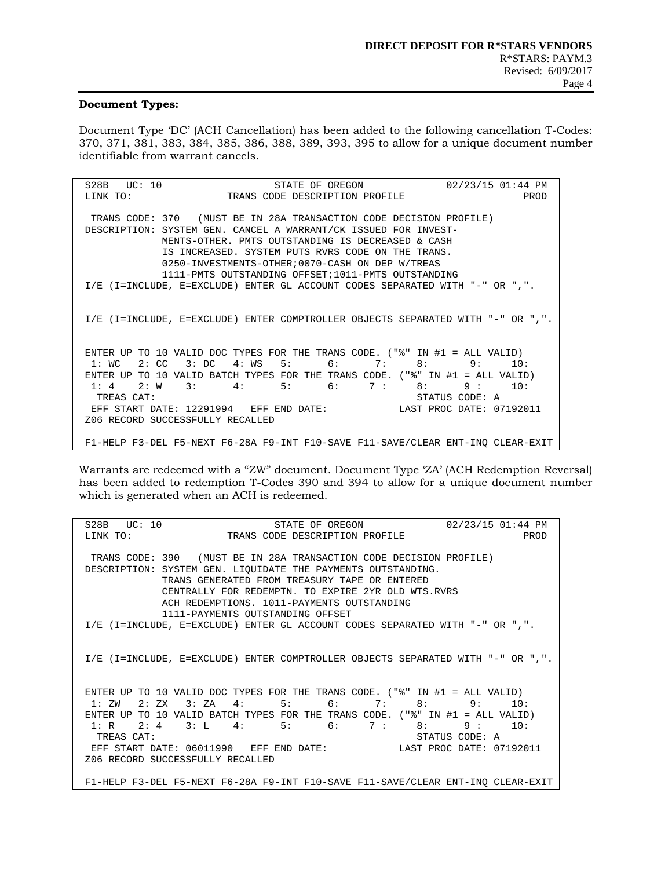#### **Document Types:**

Document Type 'DC' (ACH Cancellation) has been added to the following cancellation T-Codes: 370, 371, 381, 383, 384, 385, 386, 388, 389, 393, 395 to allow for a unique document number identifiable from warrant cancels.

S28B UC: 10 STATE OF OREGON 02/23/15 01:44 PM<br>LINK TO: TRANS CODE DESCRIPTION PROFILE PROD TRANS CODE DESCRIPTION PROFILE TRANS CODE: 370 (MUST BE IN 28A TRANSACTION CODE DECISION PROFILE) DESCRIPTION: SYSTEM GEN. CANCEL A WARRANT/CK ISSUED FOR INVEST- MENTS-OTHER. PMTS OUTSTANDING IS DECREASED & CASH IS INCREASED. SYSTEM PUTS RVRS CODE ON THE TRANS. 0250-INVESTMENTS-OTHER;0070-CASH ON DEP W/TREAS 1111-PMTS OUTSTANDING OFFSET;1011-PMTS OUTSTANDING I/E (I=INCLUDE, E=EXCLUDE) ENTER GL ACCOUNT CODES SEPARATED WITH "-" OR ",". I/E (I=INCLUDE, E=EXCLUDE) ENTER COMPTROLLER OBJECTS SEPARATED WITH "-" OR ",". ENTER UP TO 10 VALID DOC TYPES FOR THE TRANS CODE. (" $\text{\$}$ " IN #1 = ALL VALID)<br>1: WC 2: CC 3: DC 4: WS 5: 6: 7: 8: 9: 10: 1: WC 2: CC 3: DC 4: WS 5: 6: 7: ENTER UP TO 10 VALID BATCH TYPES FOR THE TRANS CODE.  $("\$ " IN #1 = ALL VALID)<br>1: 4 2:  $W$  3: 4: 5: 6: 7: 8: 9: 10: 1: 4 2: W 3: 4: 5: 6: 7 :<br>TREAS CAT: STATUS CODE: A<br>LAST PROC DATE: 07192011 EFF START DATE: 12291994 EFF END DATE: Z06 RECORD SUCCESSFULLY RECALLED F1-HELP F3-DEL F5-NEXT F6-28A F9-INT F10-SAVE F11-SAVE/CLEAR ENT-INQ CLEAR-EXIT

Warrants are redeemed with a "ZW" document. Document Type 'ZA' (ACH Redemption Reversal) has been added to redemption T-Codes 390 and 394 to allow for a unique document number which is generated when an ACH is redeemed.

S28B UC: 10 STATE OF OREGON 02/23/15 01:44 PM<br>LINK TO: TRANS CODE DESCRIPTION PROFILE PROD TRANS CODE DESCRIPTION PROFILE TRANS CODE: 390 (MUST BE IN 28A TRANSACTION CODE DECISION PROFILE) DESCRIPTION: SYSTEM GEN. LIQUIDATE THE PAYMENTS OUTSTANDING. TRANS GENERATED FROM TREASURY TAPE OR ENTERED CENTRALLY FOR REDEMPTN. TO EXPIRE 2YR OLD WTS.RVRS ACH REDEMPTIONS. 1011-PAYMENTS OUTSTANDING 1111-PAYMENTS OUTSTANDING OFFSET I/E (I=INCLUDE, E=EXCLUDE) ENTER GL ACCOUNT CODES SEPARATED WITH "-" OR ",". I/E (I=INCLUDE, E=EXCLUDE) ENTER COMPTROLLER OBJECTS SEPARATED WITH "-" OR ",". ENTER UP TO 10 VALID DOC TYPES FOR THE TRANS CODE.  $("\$ " IN #1 = ALL VALID)<br>1: ZW 2: ZX 3: ZA 4: 5: 6: 7: 8: 9: 10: 1: ZW 2: ZX 3: ZA 4: 5: 6: 7: ENTER UP TO 10 VALID BATCH TYPES FOR THE TRANS CODE.  $("\" IN \#1 = ALL VALUE)$ <br>1: R 2: 4 3: L 4: 5: 6: 7: 8: 9: 10: 1: R 2: 4 3: L 4: 5: 6: 7: 8: 9: TREAS CAT:<br>EFF START DATE: 06011990 EFF END DATE: LAST PROC DATE: 07192011 EFF START DATE: 06011990 EFF END DATE: Z06 RECORD SUCCESSFULLY RECALLED F1-HELP F3-DEL F5-NEXT F6-28A F9-INT F10-SAVE F11-SAVE/CLEAR ENT-INQ CLEAR-EXIT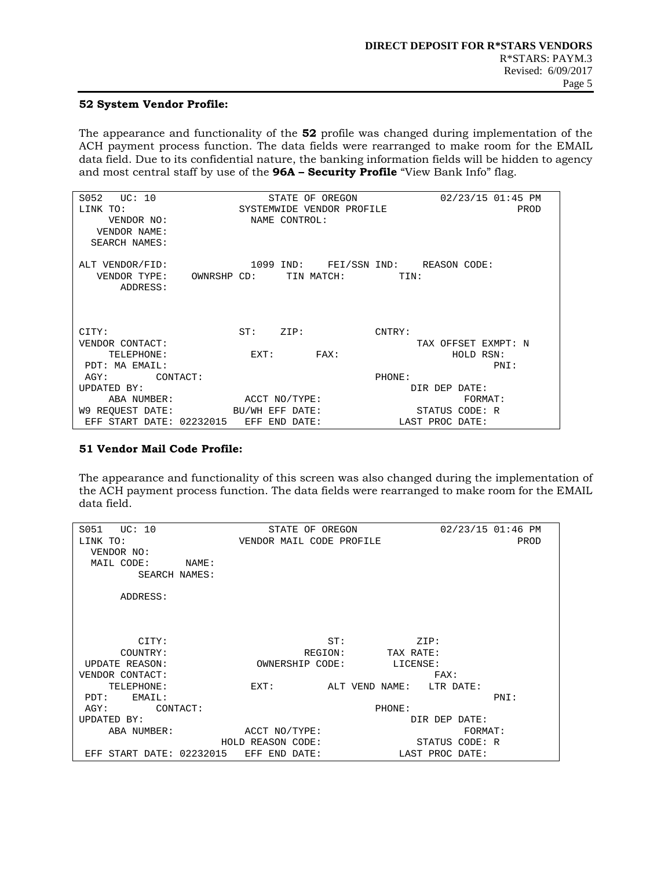# **52 System Vendor Profile:**

The appearance and functionality of the **52** profile was changed during implementation of the ACH payment process function. The data fields were rearranged to make room for the EMAIL data field. Due to its confidential nature, the banking information fields will be hidden to agency and most central staff by use of the **96A – Security Profile** "View Bank Info" flag.

| $S052$ $UC: 10$                        | STATE OF OREGON           |                               |      |                | 02/23/15 01:45 PM                   |  |  |  |  |
|----------------------------------------|---------------------------|-------------------------------|------|----------------|-------------------------------------|--|--|--|--|
| LINK TO:                               | SYSTEMWIDE VENDOR PROFILE |                               |      |                | PROD                                |  |  |  |  |
| VENDOR NO:                             | NAME CONTROL:             |                               |      |                |                                     |  |  |  |  |
| VENDOR NAME:                           |                           |                               |      |                |                                     |  |  |  |  |
| <b>SEARCH NAMES:</b>                   |                           |                               |      |                |                                     |  |  |  |  |
|                                        |                           |                               |      |                |                                     |  |  |  |  |
| ALT VENDOR/FID:                        |                           |                               |      |                | 1099 IND: FEI/SSN IND: REASON CODE: |  |  |  |  |
| VENDOR TYPE: OWNRSHP CD: TIN MATCH:    |                           |                               |      |                | TIN:                                |  |  |  |  |
| ADDRESS:                               |                           |                               |      |                |                                     |  |  |  |  |
|                                        |                           |                               |      |                |                                     |  |  |  |  |
|                                        |                           |                               |      |                |                                     |  |  |  |  |
|                                        |                           |                               |      |                |                                     |  |  |  |  |
| CITY:                                  |                           | ST: ZIP:                      |      |                | CNTRY:                              |  |  |  |  |
| VENDOR CONTACT:                        |                           |                               |      |                | TAX OFFSET EXMPT: N                 |  |  |  |  |
| TELEPHONE:                             |                           | $\mathop{\rm EXT}\nolimits$ : | FAX: |                | HOLD RSN:                           |  |  |  |  |
| PDT: MA EMAIL:                         |                           |                               |      |                | PNI:                                |  |  |  |  |
| AGY:<br>CONTACT:                       |                           |                               |      |                | PHONE:                              |  |  |  |  |
| UPDATED BY:                            |                           |                               |      |                | DIR DEP DATE:                       |  |  |  |  |
|                                        | ABA NUMBER: ACCT NO/TYPE: |                               |      | <b>FORMAT:</b> |                                     |  |  |  |  |
| W9 REQUEST DATE: BU/WH EFF DATE:       |                           |                               |      |                | STATUS CODE: R                      |  |  |  |  |
| EFF START DATE: 02232015 EFF END DATE: |                           |                               |      |                | LAST PROC DATE:                     |  |  |  |  |

#### **51 Vendor Mail Code Profile:**

The appearance and functionality of this screen was also changed during the implementation of the ACH payment process function. The data fields were rearranged to make room for the EMAIL data field.

| S051<br>UC: 10                            | STATE OF OREGON          | 02/23/15 01:46 PM |
|-------------------------------------------|--------------------------|-------------------|
| LINK TO:                                  | VENDOR MAIL CODE PROFILE | PROD              |
| VENDOR NO:                                |                          |                   |
| MAIL CODE:<br>NAME:                       |                          |                   |
| SEARCH NAMES:                             |                          |                   |
|                                           |                          |                   |
| ADDRESS:                                  |                          |                   |
|                                           |                          |                   |
|                                           |                          |                   |
|                                           |                          |                   |
| CITY:                                     | ST:                      | ZIP:              |
| COUNTRY:                                  | REGION:                  | TAX RATE:         |
| <b>UPDATE REASON:</b>                     | OWNERSHIP CODE:          | LICENSE:          |
| VENDOR CONTACT:                           |                          | FAX:              |
| TELEPHONE:                                | EXT:<br>ALT VEND NAME:   | LTR DATE:         |
| EMAIL:<br>PDT:                            |                          | PNI:              |
| AGY:<br>CONTACT:                          |                          | PHONE:            |
| UPDATED BY:                               |                          | DIR DEP DATE:     |
| ABA NUMBER:                               | ACCT NO/TYPE:            | <b>FORMAT:</b>    |
|                                           | HOLD REASON CODE:        | STATUS CODE: R    |
| START DATE: 02232015 EFF END DATE:<br>EFF |                          | LAST PROC DATE:   |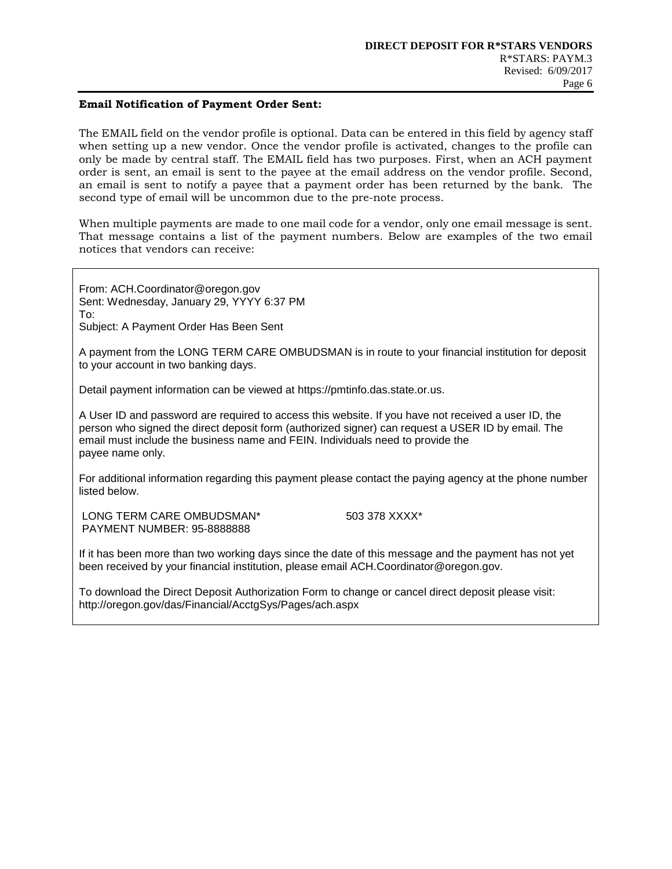### **Email Notification of Payment Order Sent:**

The EMAIL field on the vendor profile is optional. Data can be entered in this field by agency staff when setting up a new vendor. Once the vendor profile is activated, changes to the profile can only be made by central staff. The EMAIL field has two purposes. First, when an ACH payment order is sent, an email is sent to the payee at the email address on the vendor profile. Second, an email is sent to notify a payee that a payment order has been returned by the bank. The second type of email will be uncommon due to the pre-note process.

When multiple payments are made to one mail code for a vendor, only one email message is sent. That message contains a list of the payment numbers. Below are examples of the two email notices that vendors can receive:

From: ACH.Coordinator@oregon.gov Sent: Wednesday, January 29, YYYY 6:37 PM To: Subject: A Payment Order Has Been Sent

A payment from the LONG TERM CARE OMBUDSMAN is in route to your financial institution for deposit to your account in two banking days.

Detail payment information can be viewed at [https://pmtinfo.das.state.or.us.](https://pmtinfo.das.state.or.us/)

A User ID and password are required to access this website. If you have not received a user ID, the person who signed the direct deposit form (authorized signer) can request a USER ID by email. The email must include the business name and FEIN. Individuals need to provide the payee name only.

For additional information regarding this payment please contact the paying agency at the phone number listed below.

LONG TERM CARE OMBUDSMAN\* [503 378 XXXX\\*](tel:503%20378%206624) PAYMENT NUMBER: [95-8888888](tel:95-1083654)

If it has been more than two working days since the date of this message and the payment has not yet been received by your financial institution, please email [ACH.Coordinator@oregon.gov.](mailto:ACH.Coordinator@oregon.gov)

To download the Direct Deposit Authorization Form to change or cancel direct deposit please visit: <http://oregon.gov/das/Financial/AcctgSys/Pages/ach.aspx>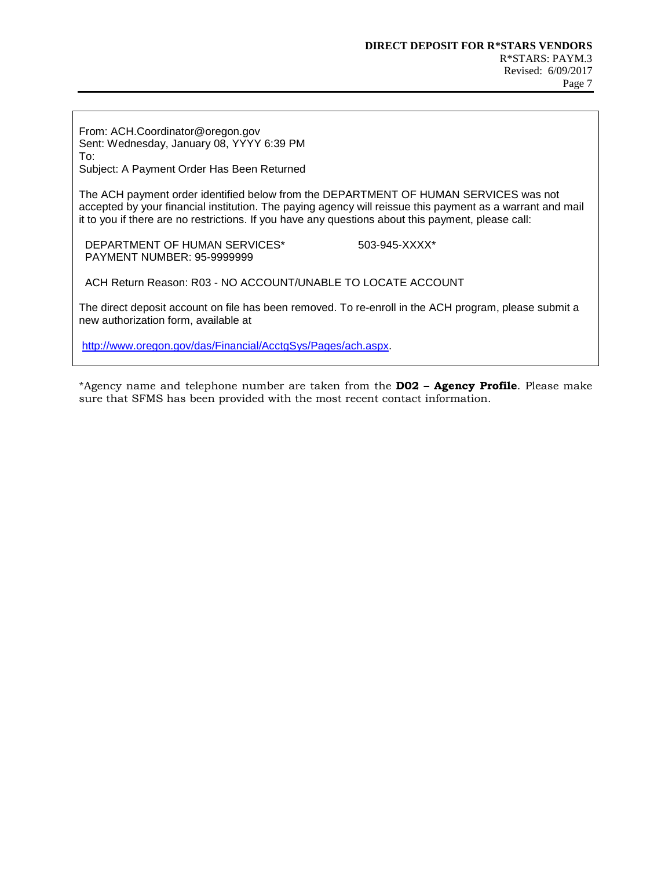From: ACH.Coordinator@oregon.gov Sent: Wednesday, January 08, YYYY 6:39 PM To:

Subject: A Payment Order Has Been Returned

The ACH payment order identified below from the DEPARTMENT OF HUMAN SERVICES was not accepted by your financial institution. The paying agency will reissue this payment as a warrant and mail it to you if there are no restrictions. If you have any questions about this payment, please call:

DEPARTMENT OF HUMAN SERVICES\* 503-945-XXXX\* PAYMENT NUMBER: 95-9999999

ACH Return Reason: R03 - NO ACCOUNT/UNABLE TO LOCATE ACCOUNT

The direct deposit account on file has been removed. To re-enroll in the ACH program, please submit a new authorization form, available at

[http://www.oregon.gov/das/Financial/AcctgSys/Pages/ach.aspx.](http://www.oregon.gov/das/Financial/AcctgSys/Pages/ach.aspx)

\*Agency name and telephone number are taken from the **D02 – Agency Profile**. Please make sure that SFMS has been provided with the most recent contact information.